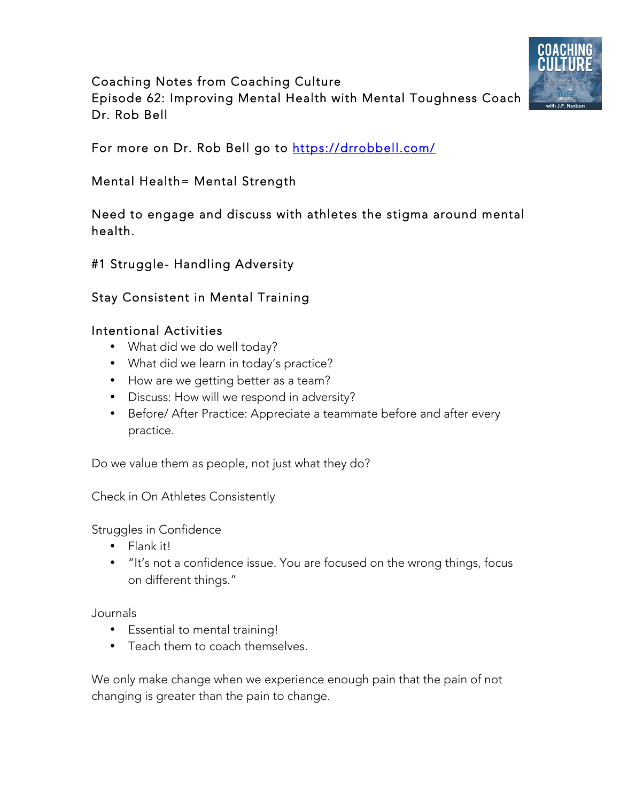

Coaching Notes from Coaching Culture Episode 62: Improving Mental Health with Mental Toughness Coach Dr. Rob Bell

For more on Dr. Rob Bell go to https://drrobbell.com/

Mental Health= Mental Strength

Need to engage and discuss with athletes the stigma around mental health.

## #1 Struggle- Handling Adversity

## Stay Consistent in Mental Training

## Intentional Activities

- What did we do well today?
- What did we learn in today's practice?
- How are we getting better as a team?
- Discuss: How will we respond in adversity?
- Before/ After Practice: Appreciate a teammate before and after every practice.

Do we value them as people, not just what they do?

Check in On Athletes Consistently

## Struggles in Confidence

- Flank it!
- "It's not a confidence issue. You are focused on the wrong things, focus on different things."

Journals

- Essential to mental training!
- Teach them to coach themselves.

We only make change when we experience enough pain that the pain of not changing is greater than the pain to change.